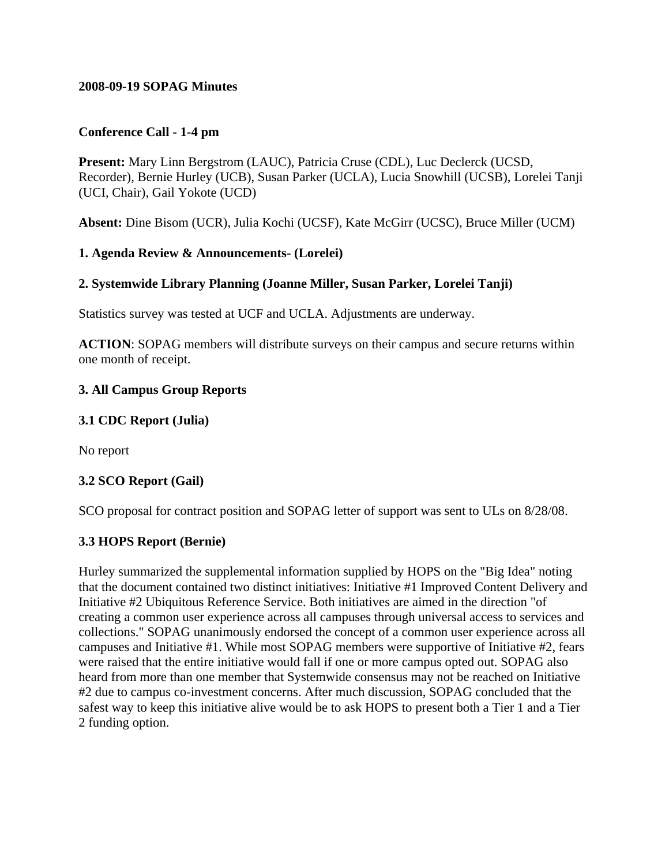#### **2008-09-19 SOPAG Minutes**

#### **Conference Call - 1-4 pm**

**Present:** Mary Linn Bergstrom (LAUC), Patricia Cruse (CDL), Luc Declerck (UCSD, Recorder), Bernie Hurley (UCB), Susan Parker (UCLA), Lucia Snowhill (UCSB), Lorelei Tanji (UCI, Chair), Gail Yokote (UCD)

**Absent:** Dine Bisom (UCR), Julia Kochi (UCSF), Kate McGirr (UCSC), Bruce Miller (UCM)

#### **1. Agenda Review & Announcements- (Lorelei)**

#### **2. Systemwide Library Planning (Joanne Miller, Susan Parker, Lorelei Tanji)**

Statistics survey was tested at UCF and UCLA. Adjustments are underway.

**ACTION**: SOPAG members will distribute surveys on their campus and secure returns within one month of receipt.

#### **3. All Campus Group Reports**

#### **3.1 CDC Report (Julia)**

No report

#### **3.2 SCO Report (Gail)**

SCO proposal for contract position and SOPAG letter of support was sent to ULs on 8/28/08.

#### **3.3 HOPS Report (Bernie)**

Hurley summarized the supplemental information supplied by HOPS on the "Big Idea" noting that the document contained two distinct initiatives: Initiative #1 Improved Content Delivery and Initiative #2 Ubiquitous Reference Service. Both initiatives are aimed in the direction "of creating a common user experience across all campuses through universal access to services and collections." SOPAG unanimously endorsed the concept of a common user experience across all campuses and Initiative #1. While most SOPAG members were supportive of Initiative #2, fears were raised that the entire initiative would fall if one or more campus opted out. SOPAG also heard from more than one member that Systemwide consensus may not be reached on Initiative #2 due to campus co-investment concerns. After much discussion, SOPAG concluded that the safest way to keep this initiative alive would be to ask HOPS to present both a Tier 1 and a Tier 2 funding option.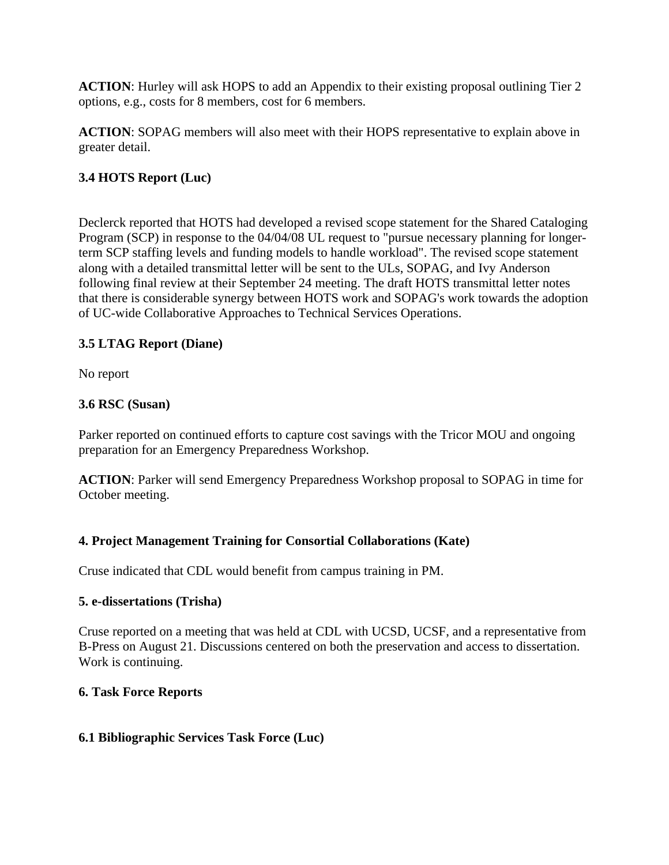**ACTION**: Hurley will ask HOPS to add an Appendix to their existing proposal outlining Tier 2 options, e.g., costs for 8 members, cost for 6 members.

**ACTION**: SOPAG members will also meet with their HOPS representative to explain above in greater detail.

# **3.4 HOTS Report (Luc)**

Declerck reported that HOTS had developed a revised scope statement for the Shared Cataloging Program (SCP) in response to the 04/04/08 UL request to "pursue necessary planning for longerterm SCP staffing levels and funding models to handle workload". The revised scope statement along with a detailed transmittal letter will be sent to the ULs, SOPAG, and Ivy Anderson following final review at their September 24 meeting. The draft HOTS transmittal letter notes that there is considerable synergy between HOTS work and SOPAG's work towards the adoption of UC-wide Collaborative Approaches to Technical Services Operations.

# **3.5 LTAG Report (Diane)**

No report

# **3.6 RSC (Susan)**

Parker reported on continued efforts to capture cost savings with the Tricor MOU and ongoing preparation for an Emergency Preparedness Workshop.

**ACTION**: Parker will send Emergency Preparedness Workshop proposal to SOPAG in time for October meeting.

# **4. Project Management Training for Consortial Collaborations (Kate)**

Cruse indicated that CDL would benefit from campus training in PM.

# **5. e-dissertations (Trisha)**

Cruse reported on a meeting that was held at CDL with UCSD, UCSF, and a representative from B-Press on August 21. Discussions centered on both the preservation and access to dissertation. Work is continuing.

# **6. Task Force Reports**

# **6.1 Bibliographic Services Task Force (Luc)**